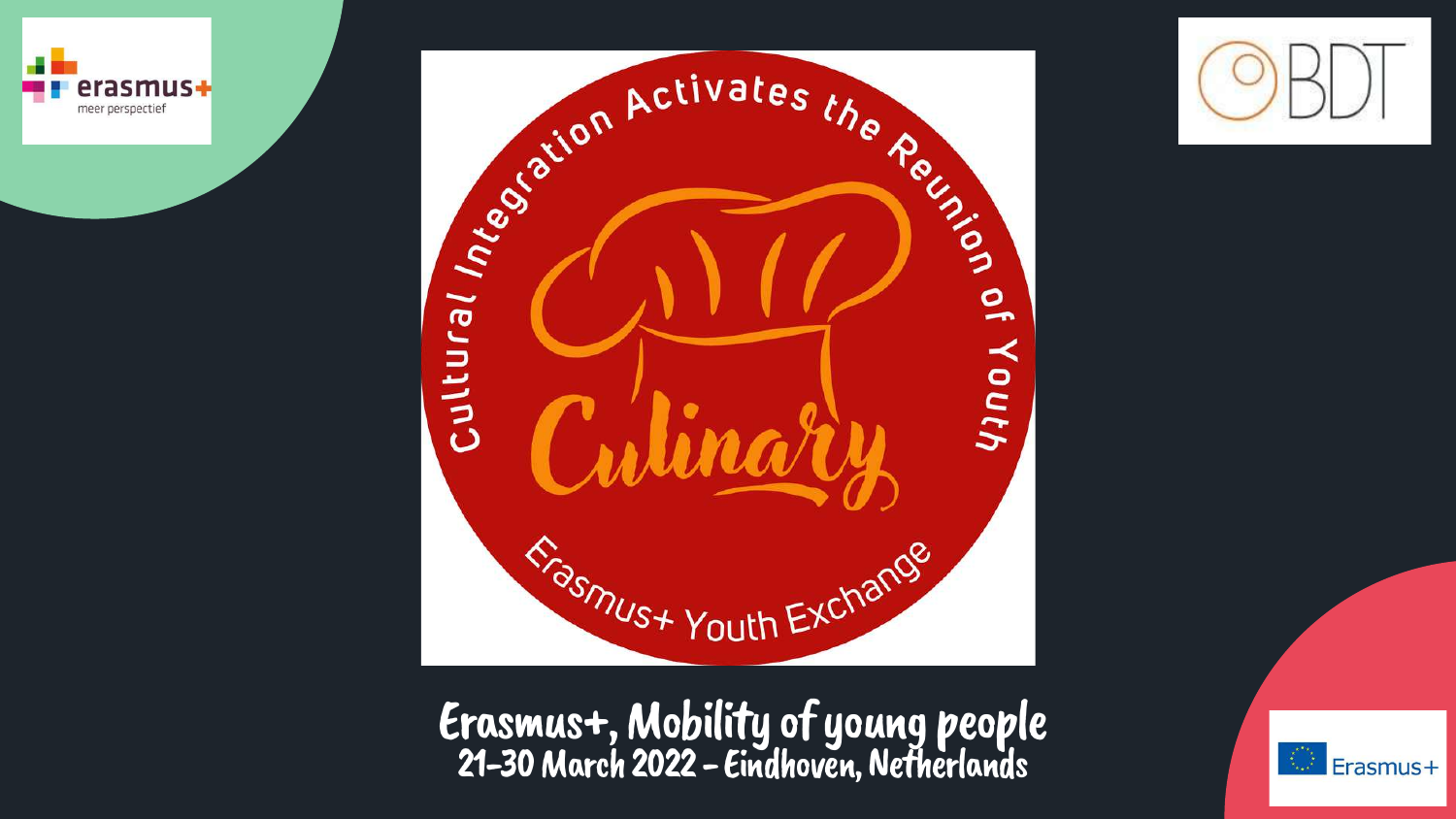



Erasmus+,Mobility of young people 21-30 March 2022 - Eindhoven, Netherlands



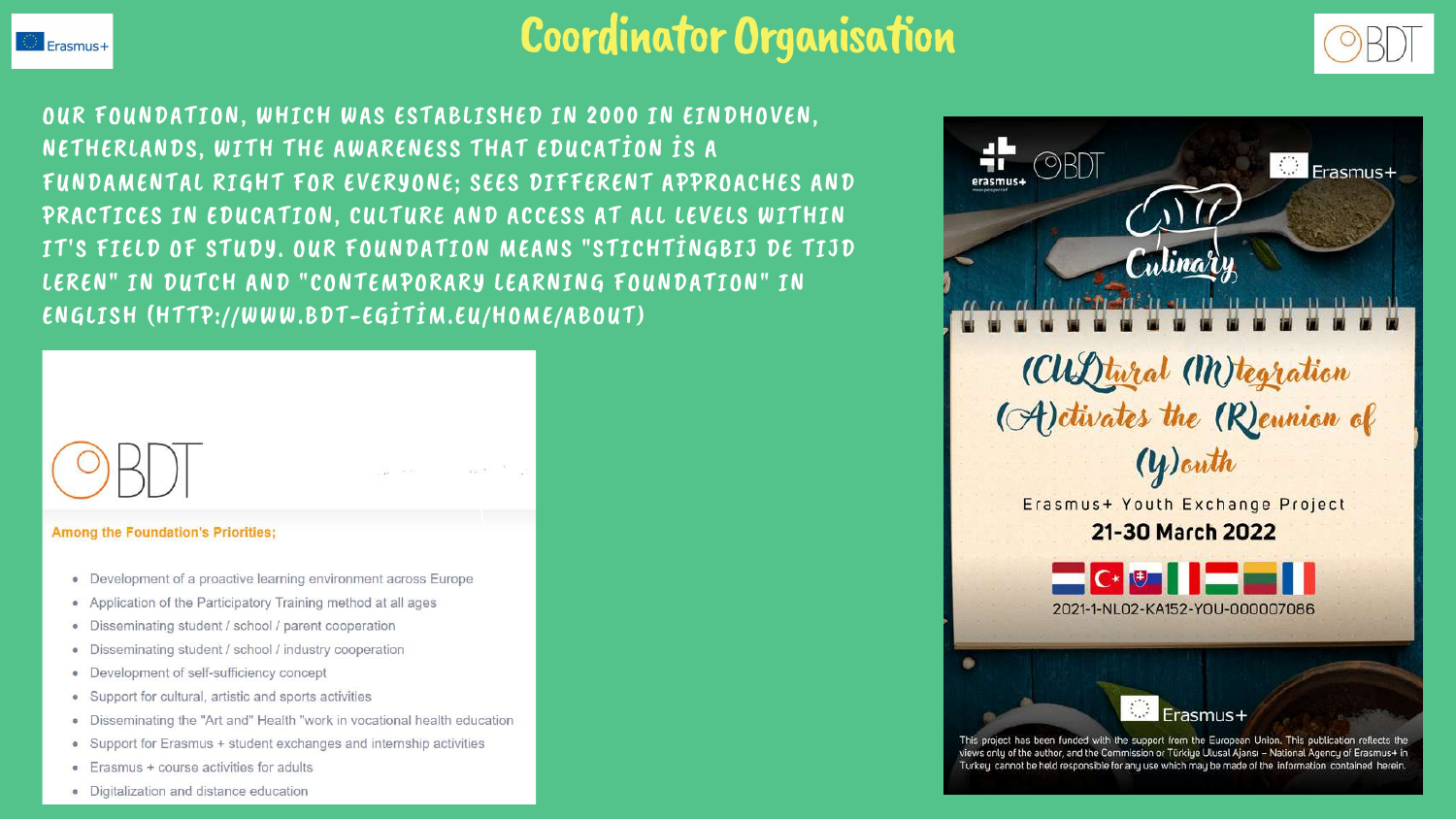

# Coordinator Organisation

OUR FOUNDATION, WHICH WAS ESTABLISHED IN 2000 IN EINDHOVEN, NETHERLANDS, WITH THE AWARENESS THAT EDUCATİON İS A FUNDAMENTAL RIGHT FOR EVERYONE; SEES DIFFERENT APPROACHES AND PRACTICES IN EDUCATION, CULTURE AND ACCESS AT ALL LEVELS WITHIN IT'S FIELD OF STUDY. OUR FOUNDATION MEANS "STICHTİNGBIJ DE TIJD LEREN" IN DUTCH AND "CONTEMPORARY LEARNING FOUNDATION" IN ENGLISH (HTTP://WWW.BDT-EGİTİM.EU/HOME/ABOUT)



- 
- · Digitalization and distance education





This project has been funded with the support from the European Union. This publication reflects the views only of the author, and the Commission or Türkiye Ulusal Ajansı - National Agency of Erasmus+ in Turkey cannot be held responsible for any use which may be made of the information contained herein.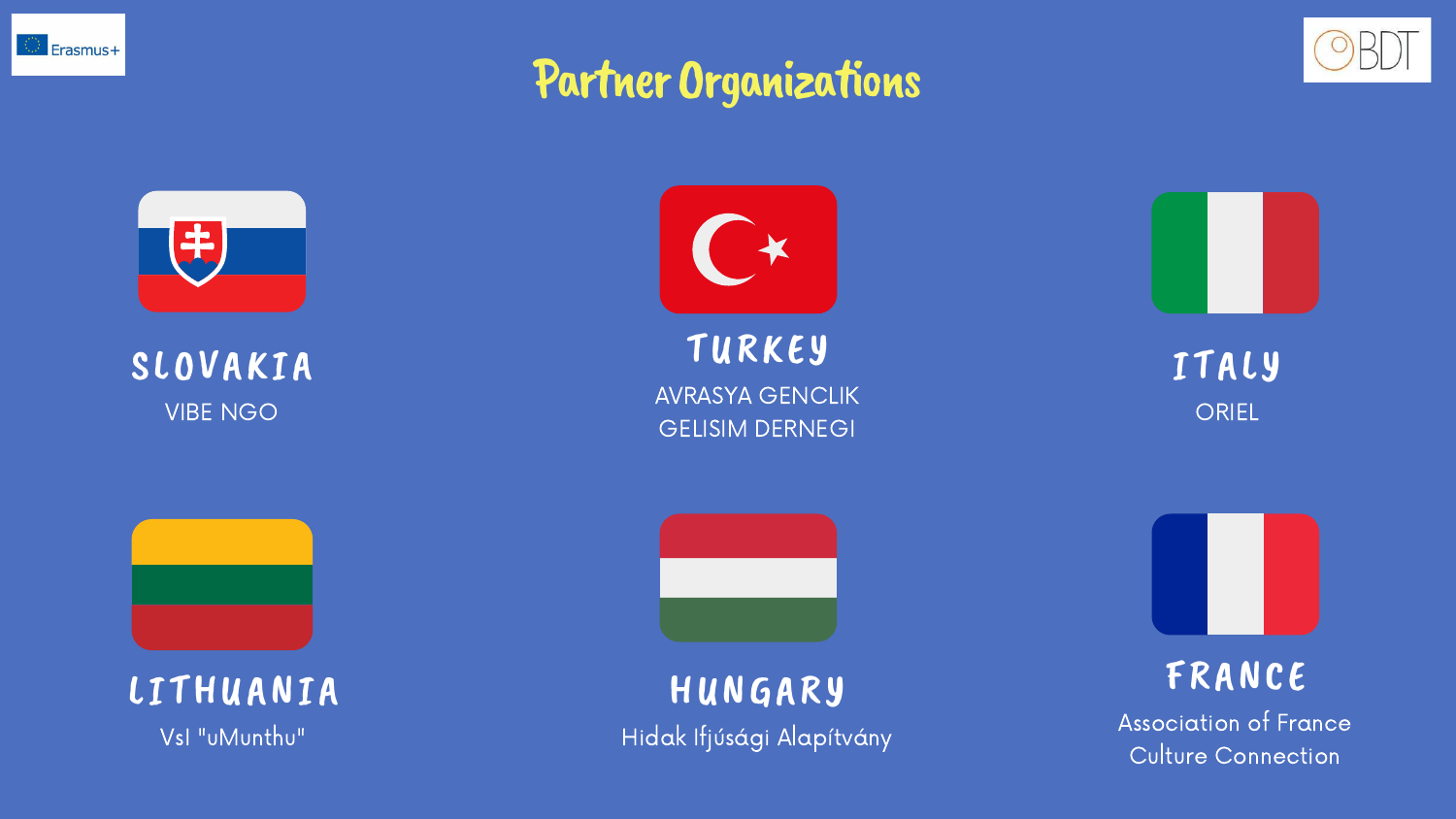

# Partner Organizations



### ITALY **ORIEL**



HUNGARY Hidak Ifjúsági Alapítvány







TURKEY AVRASYA GENCLIK GELISIM DERNEGI



### SLOVAKIA VIBE NGO



### LITHUANIA

VsI "uMunthu"



### FRANCE

Association of France Culture Connection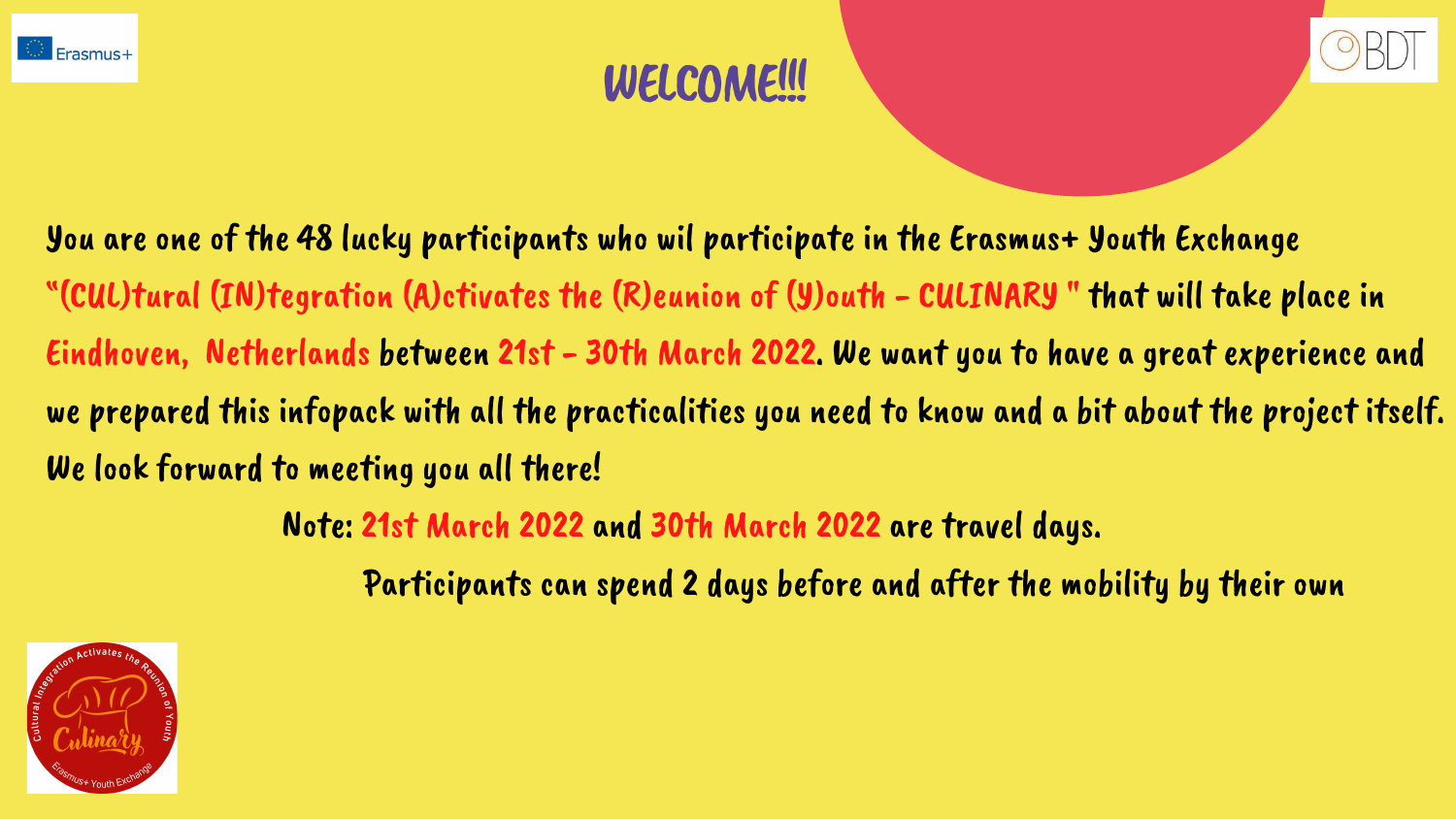You are one of the 48 lucky participants who wil participate in the Erasmus+ Youth Exchange "(CUL)tural (IN)tegration (A)ctivates the (R)eunion of (Y)outh - CULINARY " that will take place in Eindhoven, Netherlands between 21st - 30th March 2022. We want you to have a great experience and we prepared this infopack with all the practicalities you need to know and a bit about the project itself. We look forward to meeting you all there!

Note: 21st March 2022 and 30th March 2022 are travel days. Participants can spend 2 days before and after the mobility by their own





- 
- 



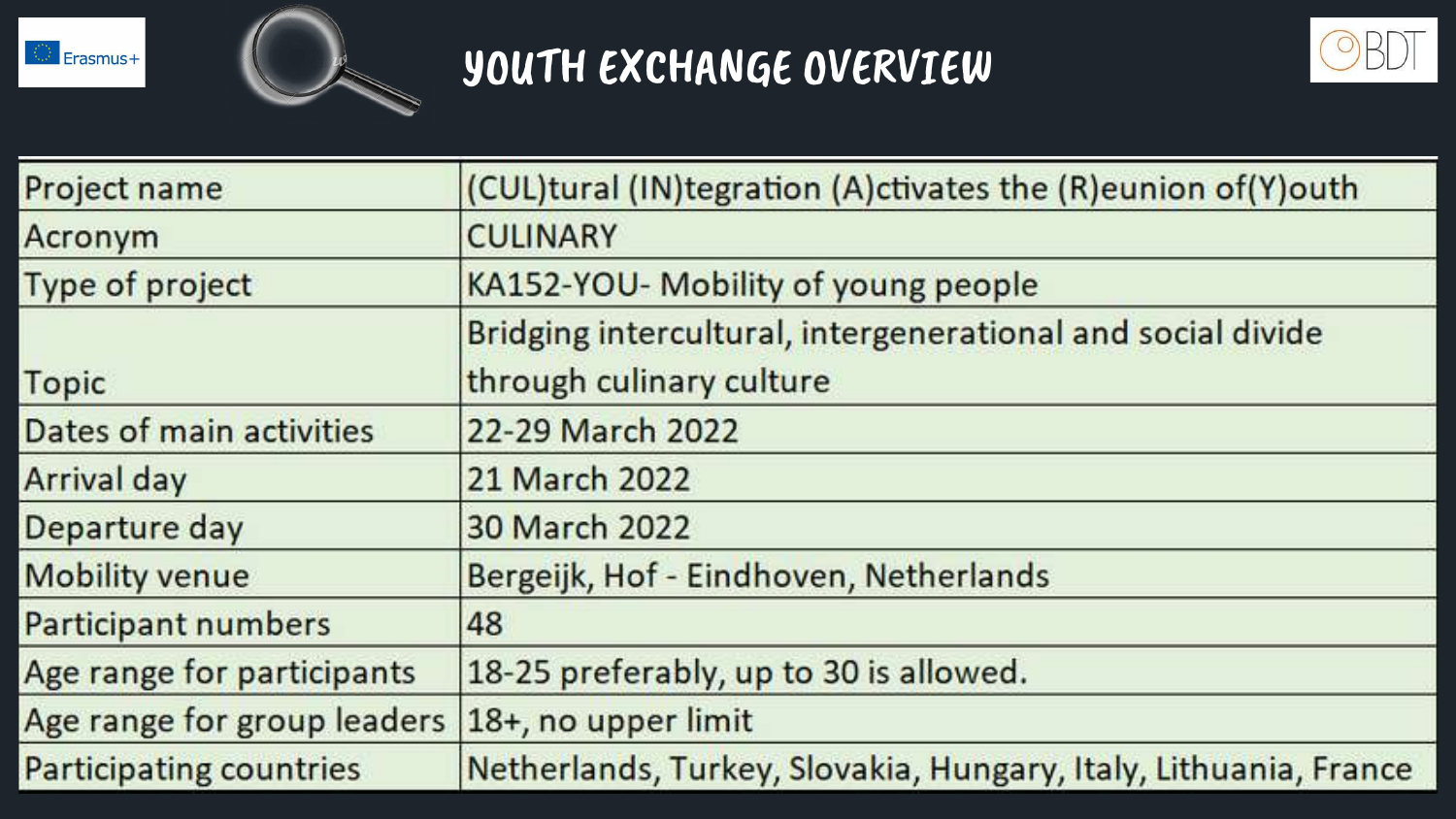



# YOUTH EXCHANGE OVERVIEW

| Project name                   | (CUL)tural (IN)tegration (A) ctivates the (R) eunion of (Y) outh                        |  |
|--------------------------------|-----------------------------------------------------------------------------------------|--|
| Acronym                        | <b>CULINARY</b>                                                                         |  |
| Type of project                | KA152-YOU- Mobility of young people                                                     |  |
| Topic                          | Bridging intercultural, intergenerational and social divide<br>through culinary culture |  |
| Dates of main activities       | 22-29 March 2022                                                                        |  |
| Arrival day                    | 21 March 2022                                                                           |  |
| Departure day                  | 30 March 2022                                                                           |  |
| <b>Mobility venue</b>          | Bergeijk, Hof - Eindhoven, Netherlands                                                  |  |
| Participant numbers            | 48                                                                                      |  |
| Age range for participants     | 18-25 preferably, up to 30 is allowed.                                                  |  |
| Age range for group leaders    | 18+, no upper limit                                                                     |  |
| <b>Participating countries</b> | Netherlands, Turkey, Slovakia, Hungary, Italy, Lithuania, France                        |  |



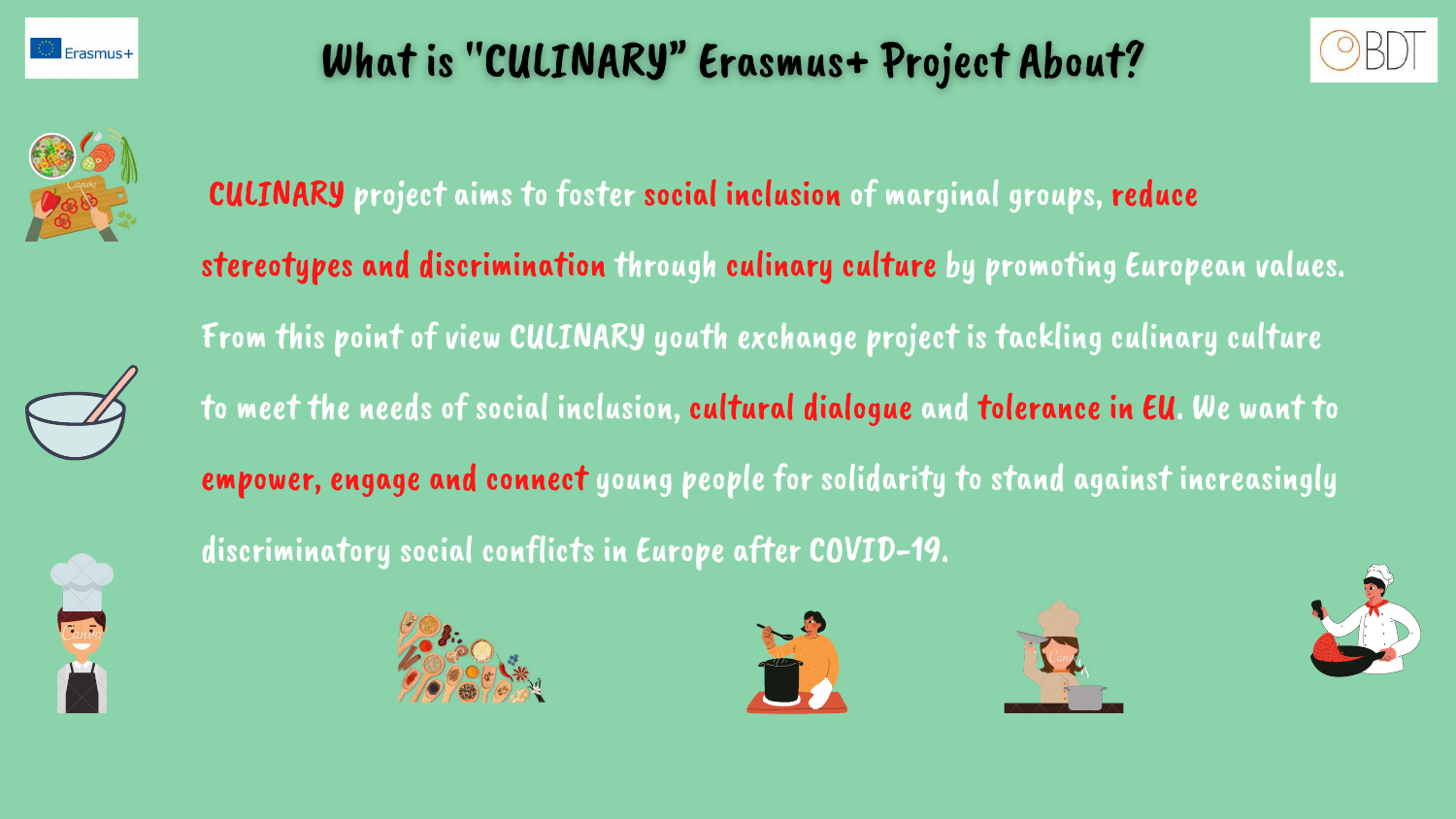

# What is "CULINARY" Erasmus+ Project About?













- 
- 
- 
- 
- 
- 



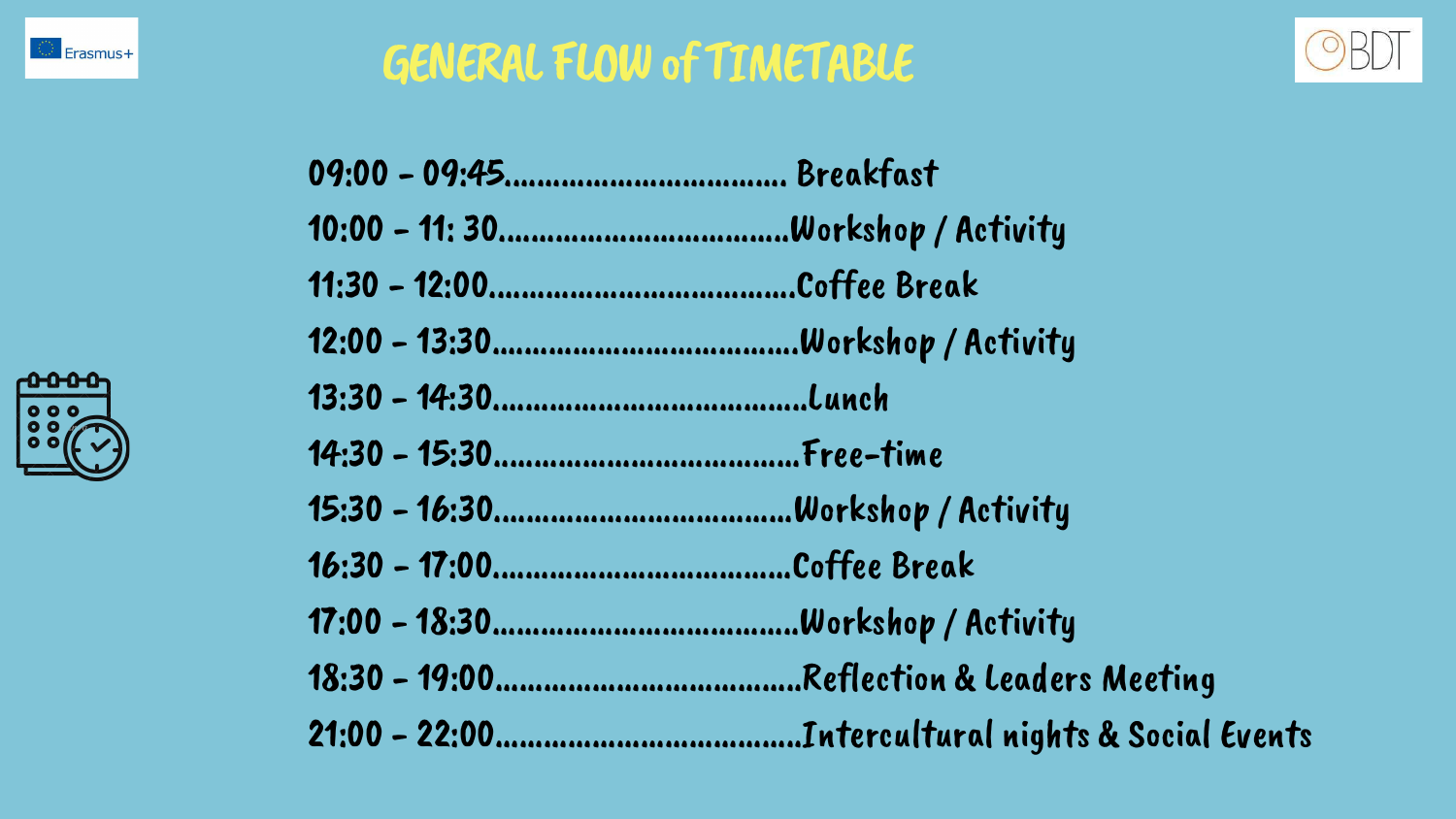

# GENERAL FLOW of TIMETABLE

| 09:00 - 09:45 Breakfast |
|-------------------------|
|                         |
|                         |
|                         |
|                         |
|                         |
|                         |
|                         |
|                         |
|                         |
|                         |





# p / Activity op / Activity

- $10p /$  Activity
- 
- 1p / Activity
- ion & Leaders Meeting
- Itural nights & Social Events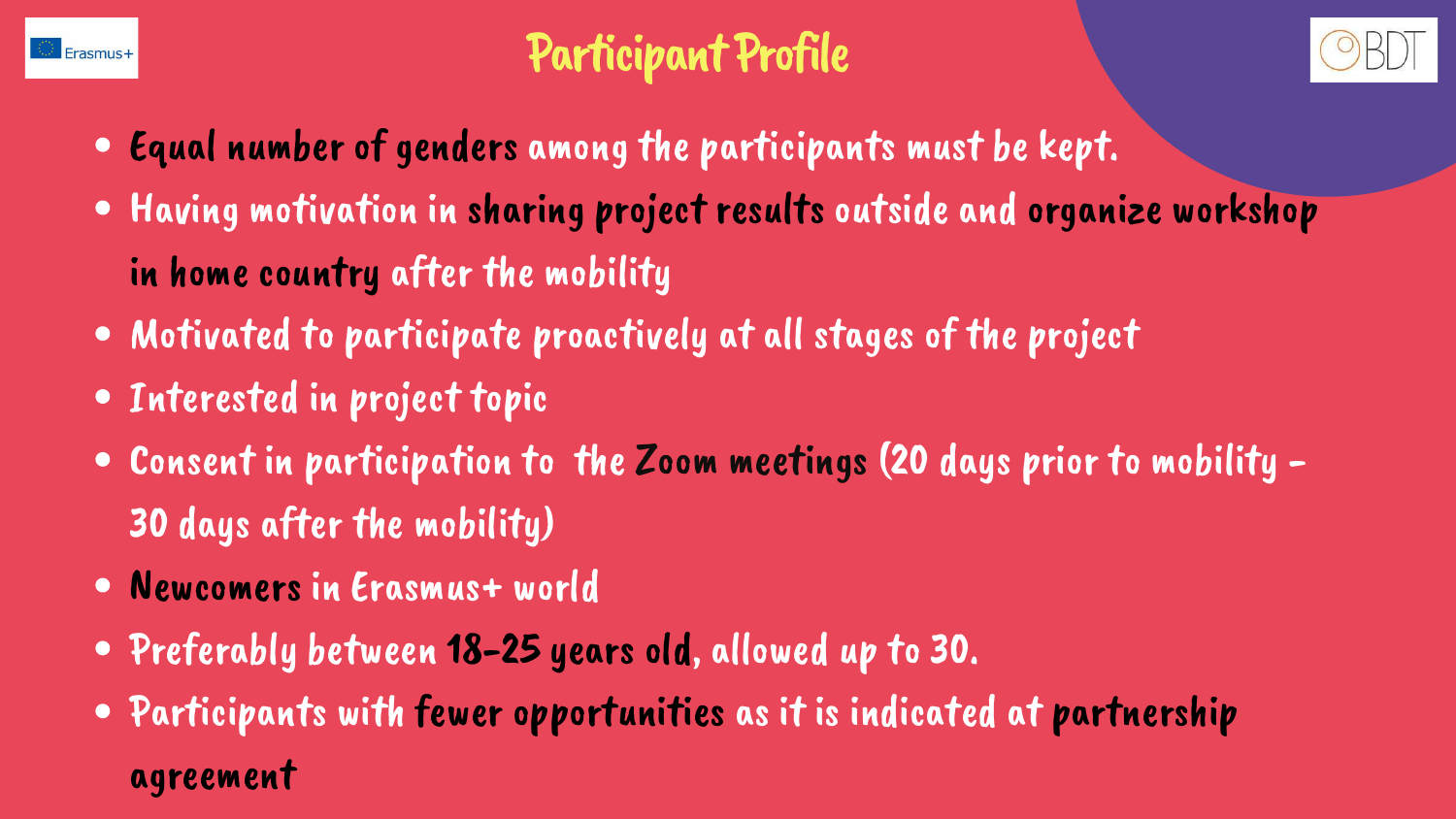

# Participant Profile

- Equal number of genders among the participants must be kept.
- Having motivation in sharing project results outside and organize workshop in home country after the mobility
- Motivated to participate proactively at all stages of the project
- Interested in project topic
- Consent in participation to the Zoom meetings (20 days prior to mobility 30 days after the mobility)
- Newcomers in Erasmus+ world
- Preferably between 18-25 years old, allowed up to 30.
- Participants with fewer opportunities as it is indicated at partnership agreement

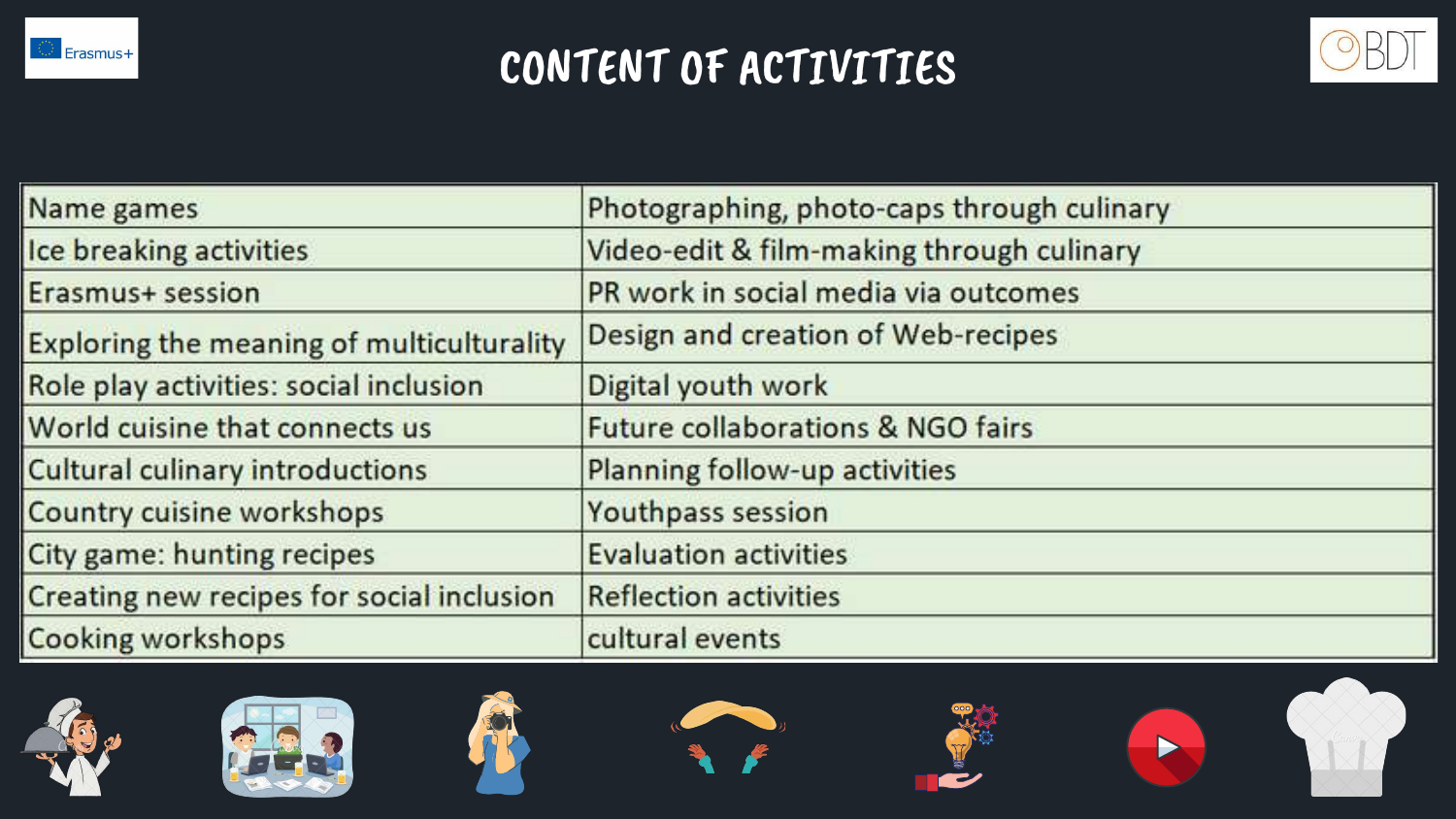

# CONTENT OF ACTIVITIES

| Name games                                | Photographing, photo-ca      |
|-------------------------------------------|------------------------------|
| Ice breaking activities                   | Video-edit & film-making     |
| Erasmus+ session                          | PR work in social media      |
| Exploring the meaning of multiculturality | Design and creation of W     |
| Role play activities: social inclusion    | Digital youth work           |
| World cuisine that connects us            | Future collaborations &      |
| Cultural culinary introductions           | Planning follow-up activi    |
| <b>Country cuisine workshops</b>          | Youthpass session            |
| City game: hunting recipes                | <b>Evaluation activities</b> |
| Creating new recipes for social inclusion | <b>Reflection activities</b> |
| Cooking workshops                         | cultural events              |













### aps through culinary

### through culinary

### via outcomes

### Veb-recipes

### **NGO fairs**

### ities

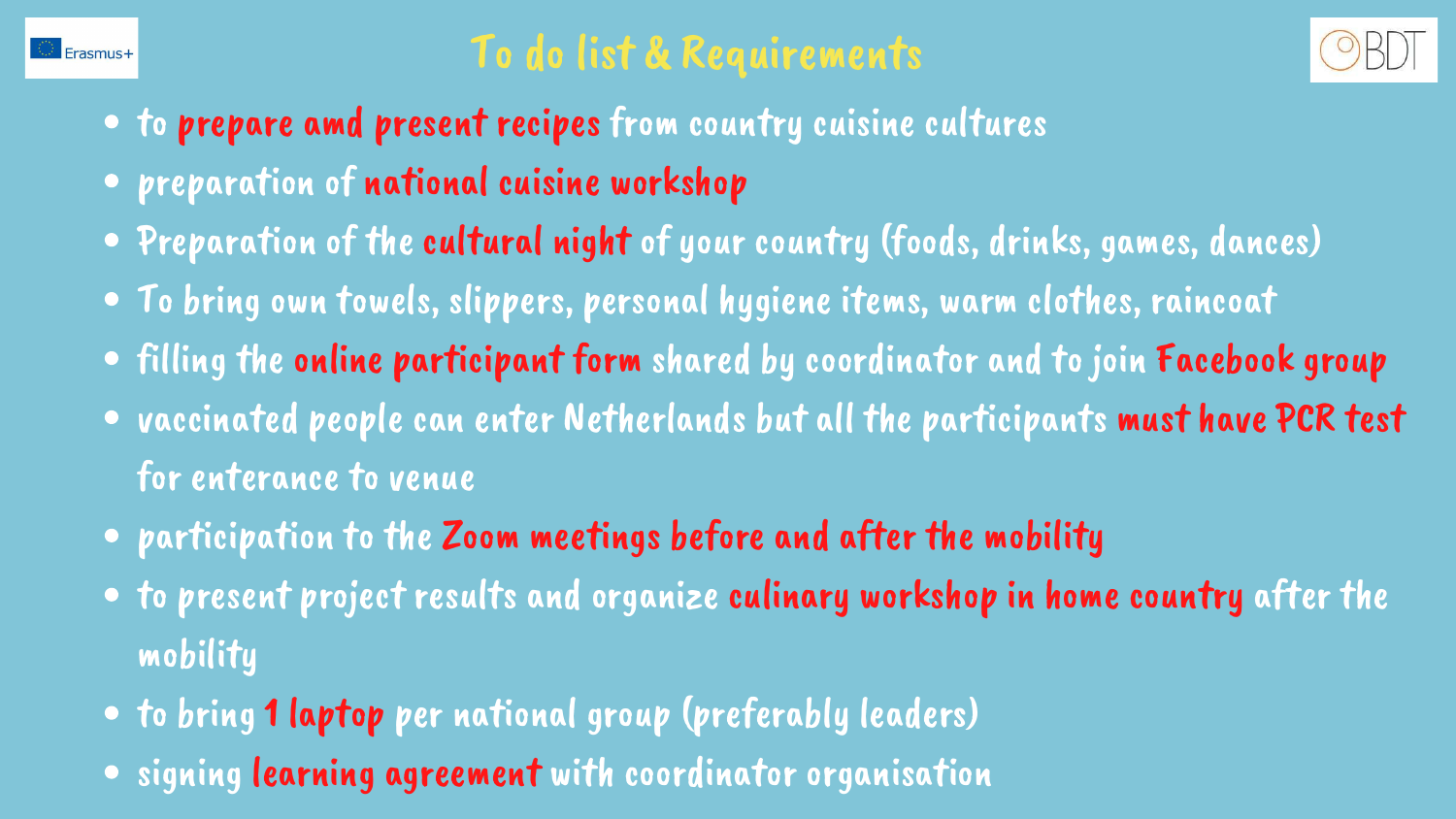

# To do list & Requirements

- to prepare amd present recipes from country cuisine cultures
- preparation of national cuisine workshop
- Preparation of the cultural night of your country (foods, drinks, games, dances) To bring own towels, slippers, personal hygiene items, warm clothes, raincoat filling the online participant form shared by coordinator and to join Facebook group
- 
- 
- vaccinated people can enter Netherlands but all the participants must have PCR test for enterance to venue
- participation to the Zoom meetings before and after the mobility
- to present project results and organize culinary workshop in home country after the mobility
- to bring 1 laptop per national group (preferably leaders)
- signing learning agreement with coordinator organisation

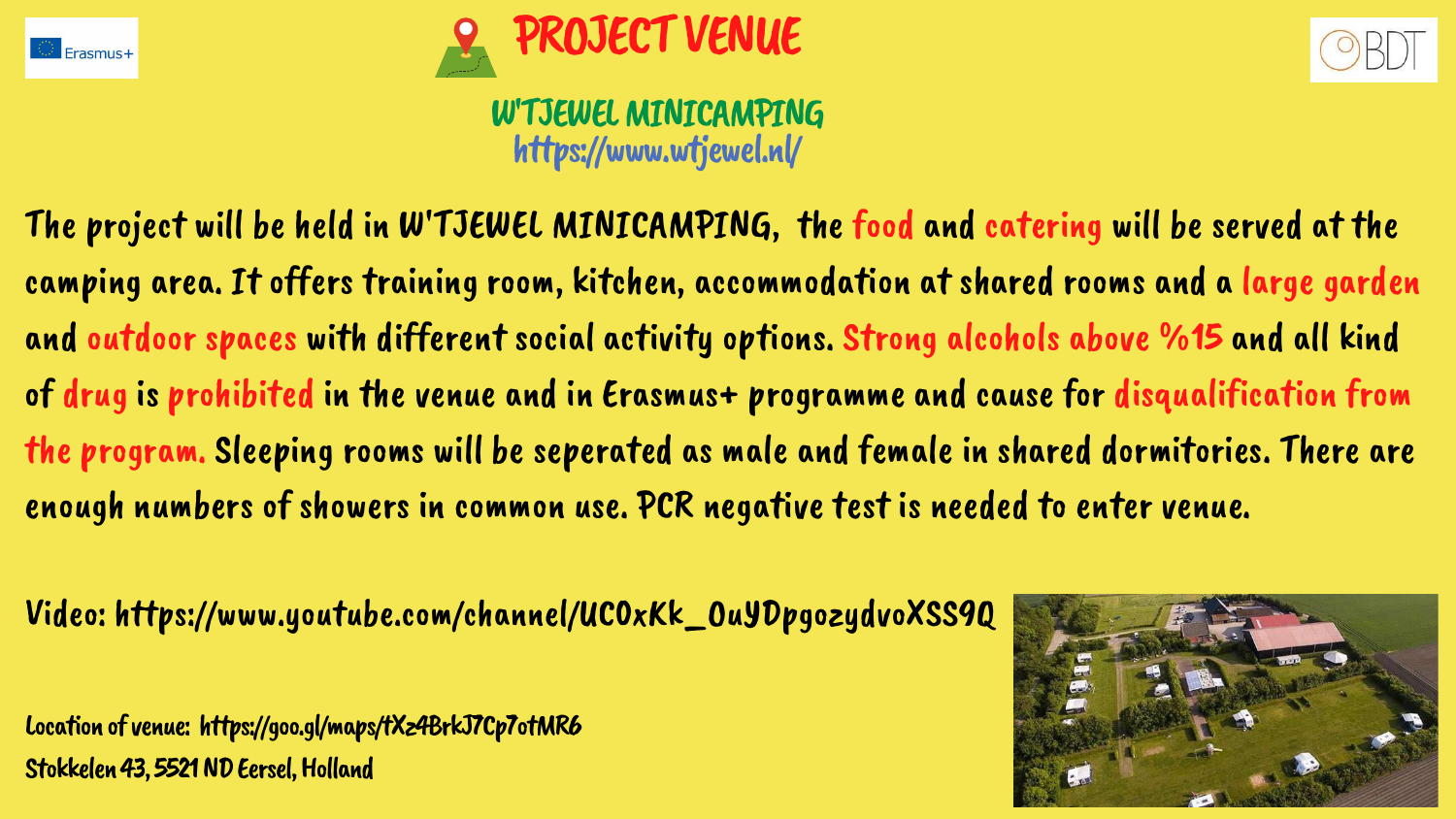The project will be held in W'TJEWEL MINICAMPING, the food and catering will be served at the camping area. It offers training room, kitchen, accommodation at shared rooms and a large garden and outdoor spaces with different social activity options. Strong alcohols above %15 and all kind of drug is prohibited in the venue and in Erasmus+ programme and cause for disqualification from the program. Sleeping rooms will be seperated as male and female in shared dormitories. There are enough numbers of showers in common use. PCR negative test is needed to enter venue.

### W'TJEWEL MINICAMPING https://www.wtjewel.nl/

Video: https://www.youtube.com/channel/UC0xKk \_OuYDpgozydvoXSS9Q

Location of venue: https://goo.gl/maps/tXz4BrkJ7Cp7otMR6 Stokkelen 43, 5521 ND Eersel, Holland









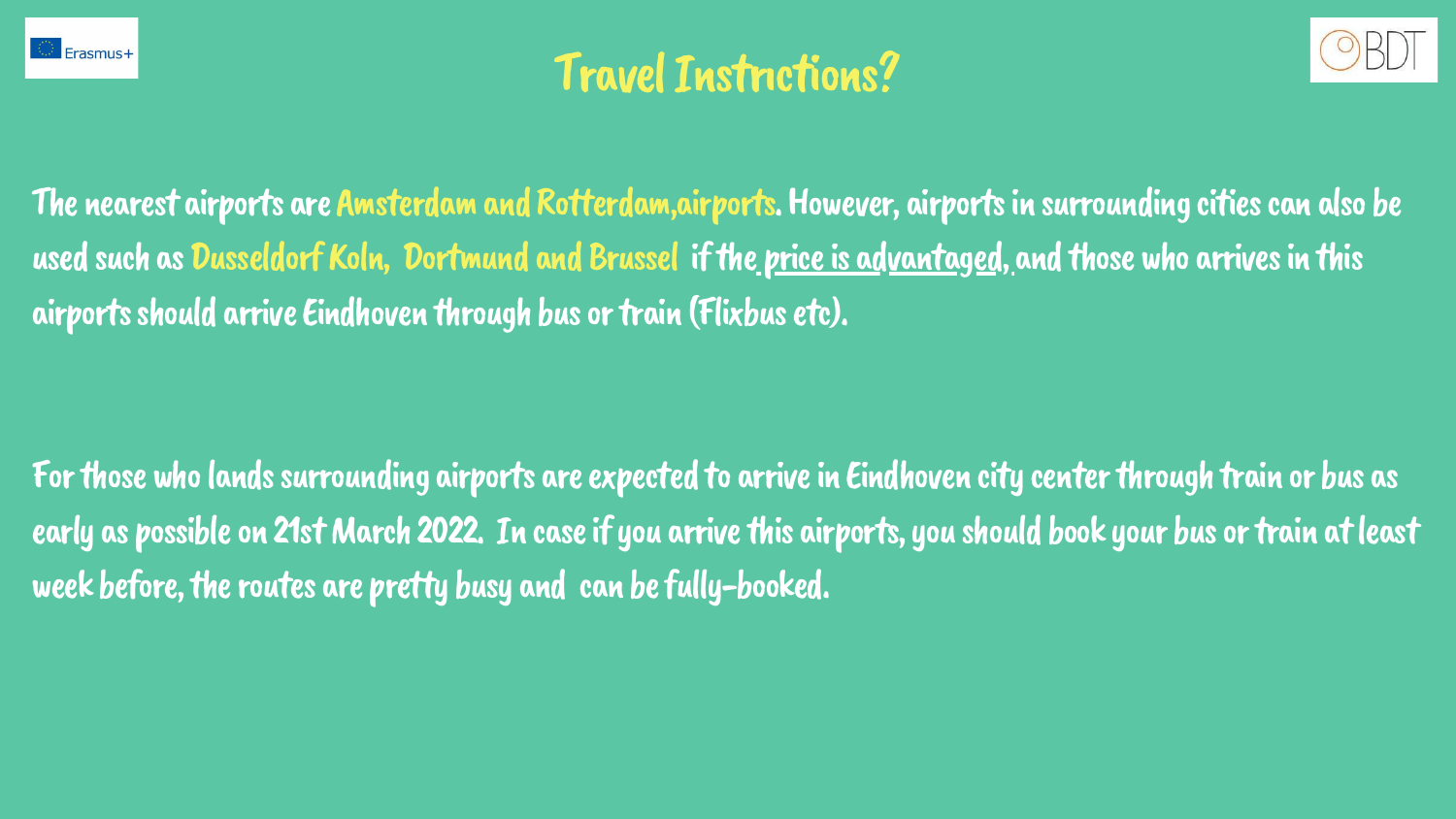

# **Travel Instrictions?**

The nearest airports are Amsterdam and Rotterdam,airports. However, airports in surrounding cities can also be used such as Dusseldorf Koln, Dortmund and Brussel if the price is advantaged, and those who arrives in this airports should arrive Eindhoven through bus or train (Flixbus etc).

For those who lands surrounding airports are expected to arrive in Eindhoven city center through train or bus as early as possible on 21st March 2022. In case if you arrive this airports, you should book your bus or train at least week before, the routes are pretty busy and can be fully-booked.

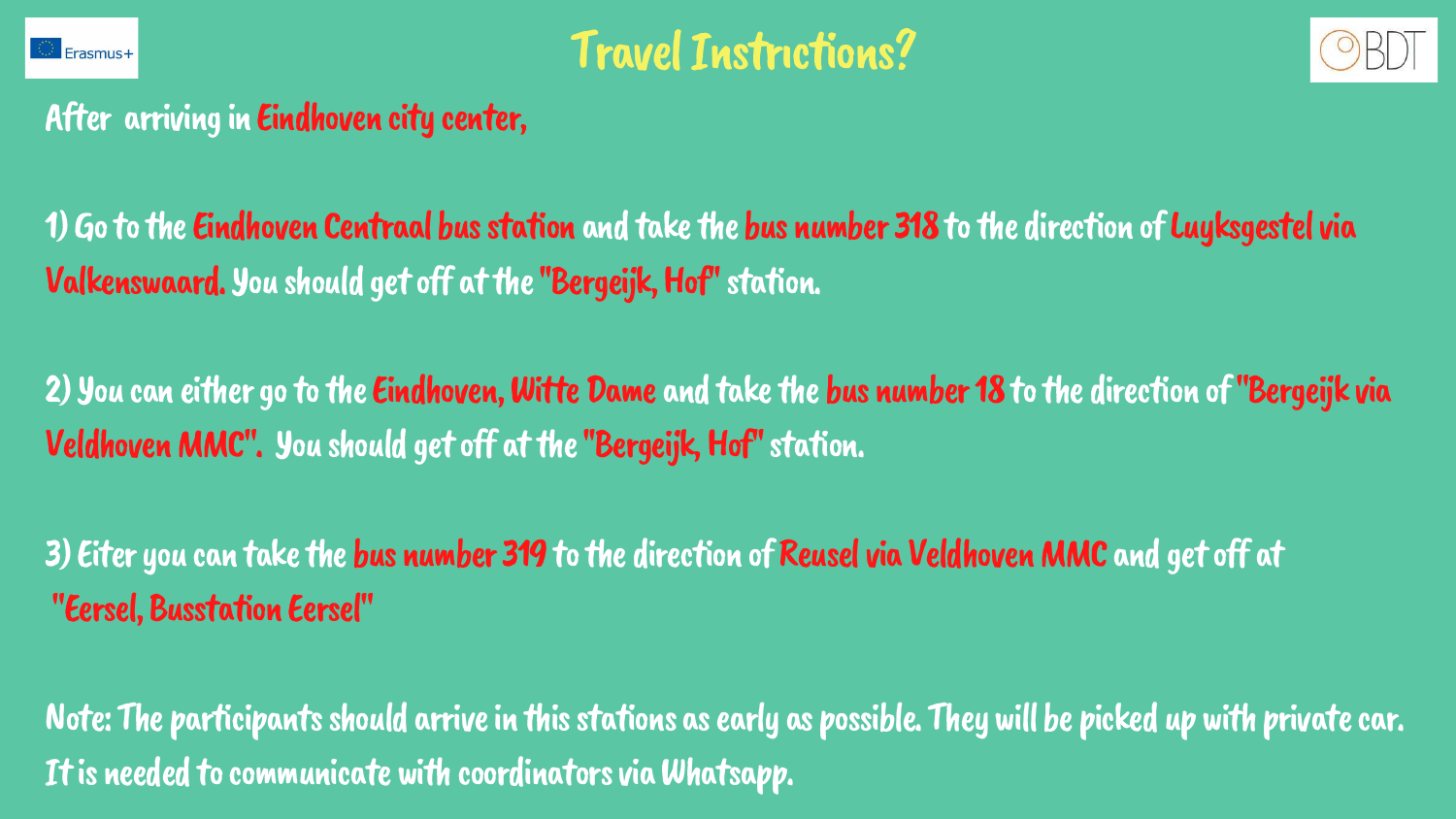

**Travel Instrictions?** 

After arriving in Eindhoven city center,

1) Go to the Eindhoven Centraal bus station and take the bus number 318 to the direction of Luyksgestel via Valkenswaard.You should getoff atthe''Bergeijk,Hof''station.

2) You can either go to the Eindhoven, Witte Dame and take the bus number 18 to the direction of "Bergeijk via Veldhoven MMC". You should get off at the "Bergeijk, Hof" station.

3) Eiter you can take the bus number 319 to the direction of Reusel via Veldhoven MMC and get off at "Eersel,Busstation Eersel"

Note: The participants should arrive in this stations as early as possible. They will be picked up with private car. It is needed to communicate with coordinators via Whatsapp.

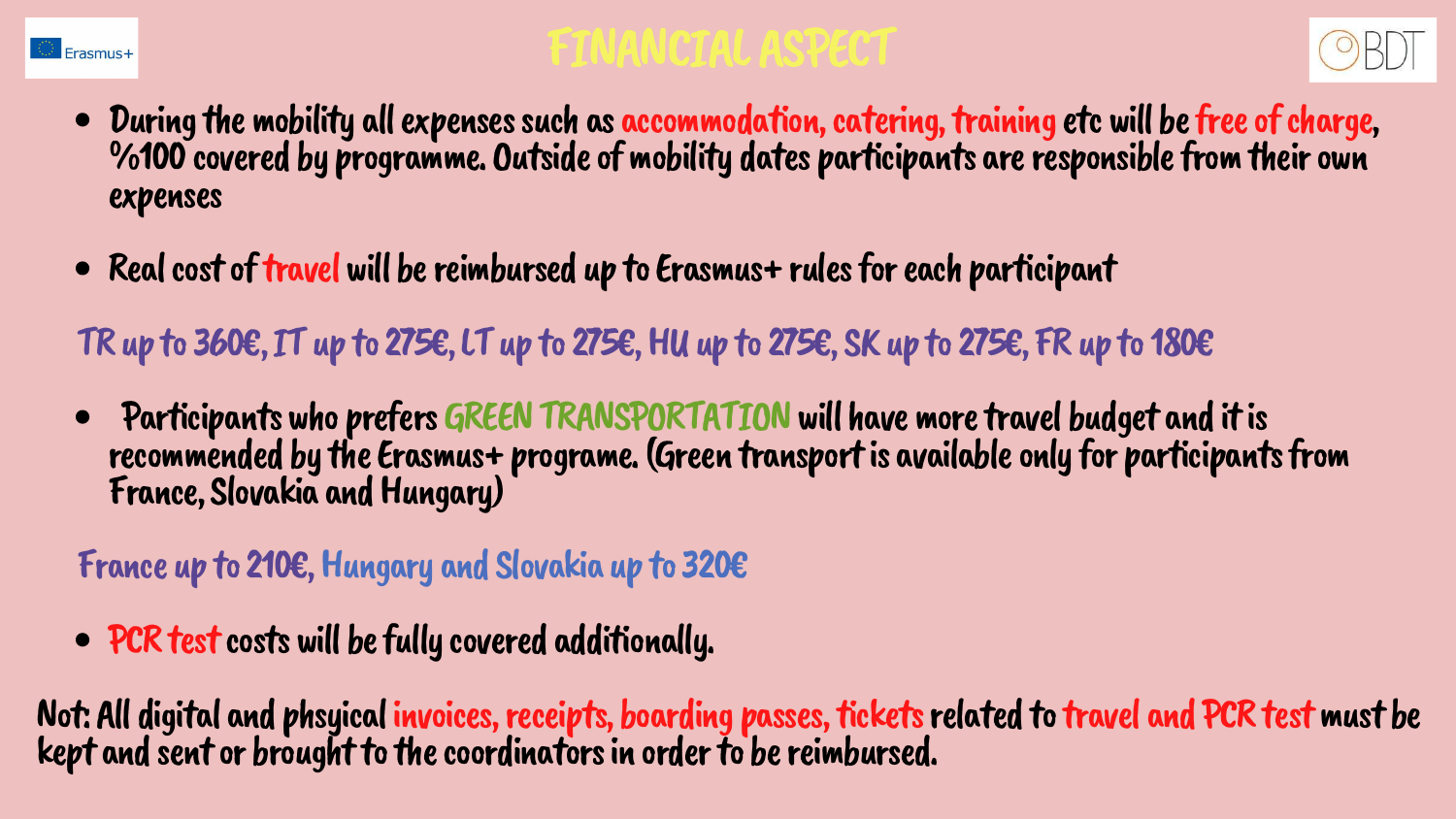

# FINANCIALASPECT

- During the mobility all expenses such as accommodation, catering, training etc will be free of charge, %100 covered by programme.Outsideofmobility dates participants areresponsiblefromtheirown expenses
- Real cost of travel will be reimbursed up to Erasmus+ rules for each participant
- TR up to 360€, IT up to 275€, LT up to 275€, HU up to 275€, SK up to 275€, FR up to 180€
- Participants who prefers GREEN TRANSPORTATION will have more travel budget and it is recommended by the Erasmus+ programe. (Green transport is available only for participants from France, Slovakia and Hungary)
- France up to 210€,Hungary and Slovakia up to 320€
- PCR test costs will be fully covered additionally.

Not: All digital and phsyical invoices, receipts, boarding passes, tickets related to travel and PCR test must be kept and sent or brought to the coordinators in order to be reimbursed.

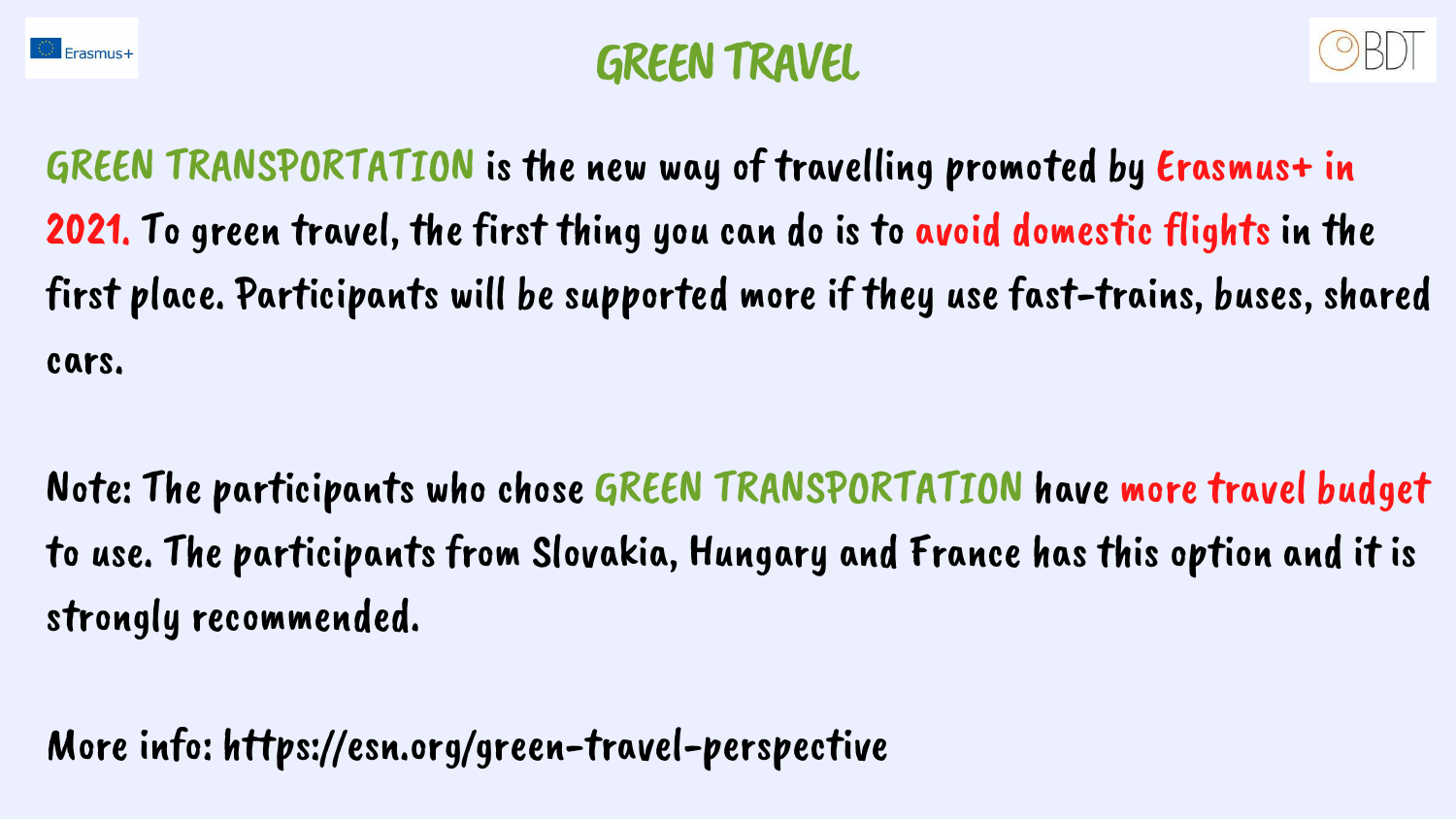

# GREENTRAVEL

GREEN TRANSPORTATION is the new way of travelling promoted by Erasmus+ in 2021. To green travel, the first thing you can do is to avoid domestic flights in the first place. Participants will be supported more if they use fast-trains, buses, shared cars.

Note: The participants who chose GREEN TRANSPORTATION have more travel budget to use. The participants from Slovakia, Hungary and France has this option and it is strongly recommended.

More info: https://esn.org/green-travel-perspective

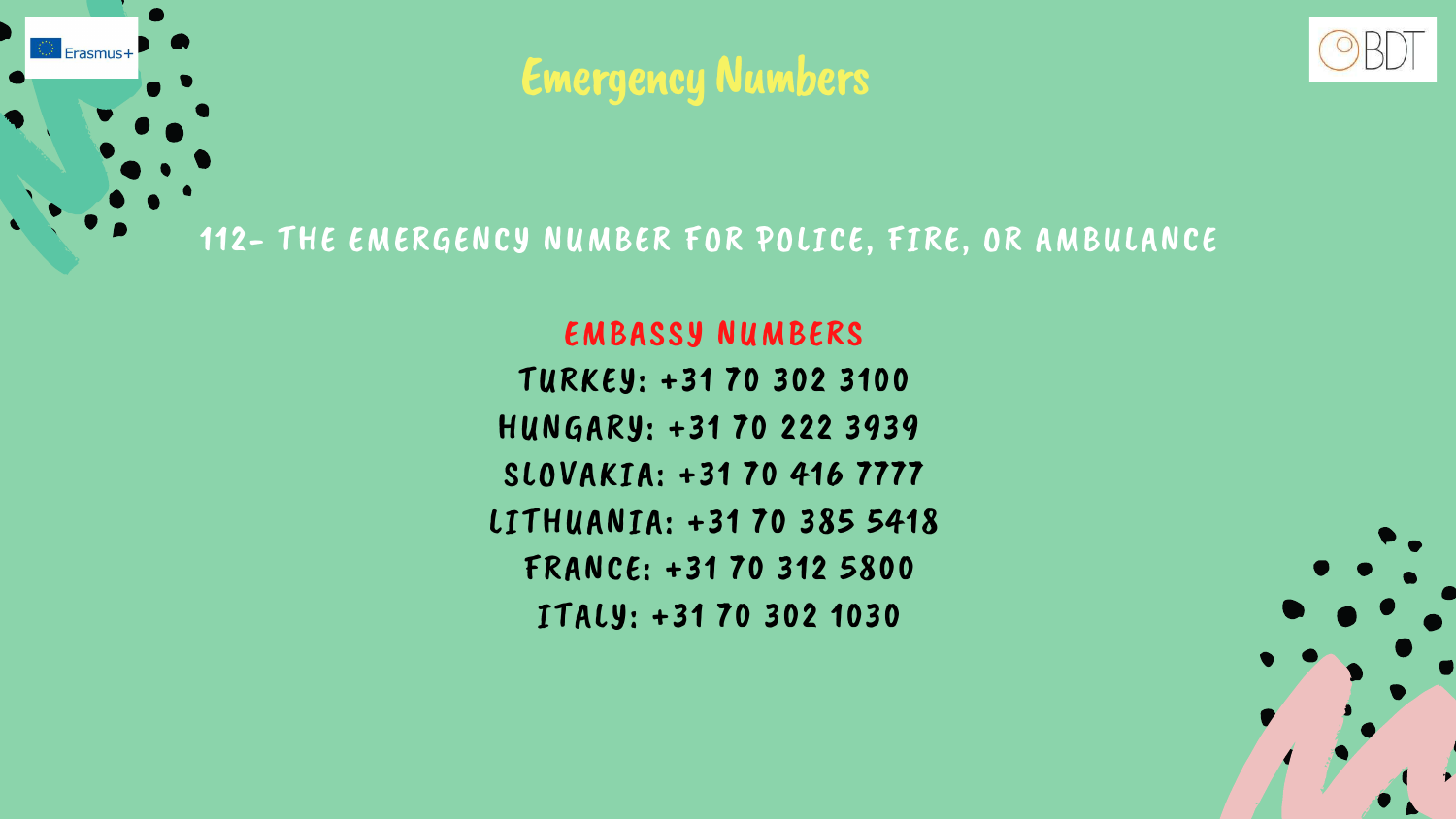# Emergency Numbers

112- THE EMERGENCY NUMBER FOR POLICE, FIRE, OR AMBULANCE

 $F<sub>rasmus+</sub>$ 

### EMBASSY NUMBERS

- TURKEY: +31 70 302 3100
- HUNGARY: +31 70 222 3939
- SLOVAKIA: +31 70 416 [7777](https://www.google.com/search?q=Embassy+of+Slovakia+in+netherlands&ei=mfTQYaqYM5GGxc8P_4iS-AU&ved=0ahUKEwjqyMHC6pH1AhURQ_EDHX-EBF8Q4dUDCA4&uact=5&oq=Embassy+of+Slovakia+in+netherlands&gs_lcp=Cgdnd3Mtd2l6EAMyCAgAEAgQBxAeOgcIABBHELADSgQIQRgASgQIRhgAUMMDWK0IYPYIaAFwAngAgAF_iAGnBpIBAzAuN5gBAKABAcgBCMABAQ&sclient=gws-wiz#)
- LITHUANIA: +31 70 385 [5418](https://www.google.com/search?q=Embassy+of+Lithuania+in+netherlands&ei=qvTQYYzXCsyVxc8PkeW4gAc&ved=0ahUKEwiM1KbK6pH1AhXMSvEDHZEyDnAQ4dUDCA4&uact=5&oq=Embassy+of+Lithuania+in+netherlands&gs_lcp=Cgdnd3Mtd2l6EAMyCAgAEAcQHhATOgcIABBHELADOgYIABAHEB46CAgAEAgQBxAeSgQIQRgASgQIRhgAUK4DWKwMYIMNaAFwAngAgAFyiAHeB5IBAzAuOZgBAKABAcgBBsABAQ&sclient=gws-wiz#)
	- FRANCE: +31 70 312 [5800](https://www.google.com/search?q=Embassy+of+france+in+netherlands&ei=uPTQYYm2I46Ixc8P26yWwAE&ved=0ahUKEwiJ8pXR6pH1AhUORPEDHVuWBRgQ4dUDCA4&uact=5&oq=Embassy+of+france+in+netherlands&gs_lcp=Cgdnd3Mtd2l6EAMyBggAEAcQHjIGCAAQBxAeMggIABAIEAcQHjIICAAQCBAHEB4yCAgAEAgQBxAeMggIABAIEAcQHjIICAAQCBAHEB46BwgAEEcQsANKBAhBGABKBAhGGABQwQFY3wVgnQZoAXACeACAAXyIAbAEkgEDMC41mAEAoAEByAEIwAEB&sclient=gws-wiz#)
	- ITALY: +31 70 302 [1030](https://www.google.com/search?q=Embassy+of+italy+in+netherlands&ei=xvTQYcffKqSVxc8P27eXyAU&ved=0ahUKEwjH2vPX6pH1AhWkSvEDHdvbBVkQ4dUDCA4&uact=5&oq=Embassy+of+italy+in+netherlands&gs_lcp=Cgdnd3Mtd2l6EAMyBAgAEBM6BwgAEEcQsAM6BggAEAcQHkoECEEYAEoECEYYAFChA1iLC2DcDWgBcAJ4AIABeYgBkgaSAQMwLjeYAQCgAQHIAQjAAQE&sclient=gws-wiz#)